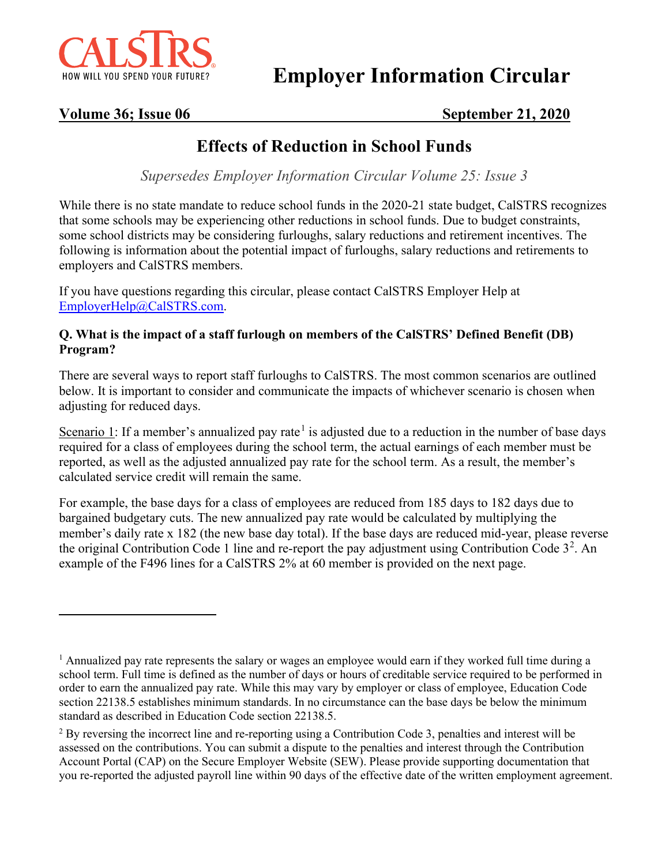

**Employer Information Circular**

# **Volume 36; Issue 06 September 21, 2020**

# **Effects of Reduction in School Funds**

*Supersedes Employer Information Circular Volume 25: Issue 3*

While there is no state mandate to reduce school funds in the 2020-21 state budget, CalSTRS recognizes that some schools may be experiencing other reductions in school funds. Due to budget constraints, some school districts may be considering furloughs, salary reductions and retirement incentives. The following is information about the potential impact of furloughs, salary reductions and retirements to employers and CalSTRS members.

If you have questions regarding this circular, please contact CalSTRS Employer Help at [EmployerHelp@CalSTRS.com.](mailto:EmployerHelp@CalSTRS.com)

#### **Q. What is the impact of a staff furlough on members of the CalSTRS' Defined Benefit (DB) Program?**

There are several ways to report staff furloughs to CalSTRS. The most common scenarios are outlined below. It is important to consider and communicate the impacts of whichever scenario is chosen when adjusting for reduced days.

Scenario [1](#page-0-0): If a member's annualized pay rate<sup>1</sup> is adjusted due to a reduction in the number of base days required for a class of employees during the school term, the actual earnings of each member must be reported, as well as the adjusted annualized pay rate for the school term. As a result, the member's calculated service credit will remain the same.

For example, the base days for a class of employees are reduced from 185 days to 182 days due to bargained budgetary cuts. The new annualized pay rate would be calculated by multiplying the member's daily rate x 182 (the new base day total). If the base days are reduced mid-year, please reverse the original Contribution Code 1 line and re-report the pay adjustment using Contribution Code  $3^2$  $3^2$ . An example of the F496 lines for a CalSTRS 2% at 60 member is provided on the next page.

<span id="page-0-0"></span><sup>&</sup>lt;sup>1</sup> Annualized pay rate represents the salary or wages an employee would earn if they worked full time during a school term. Full time is defined as the number of days or hours of creditable service required to be performed in order to earn the annualized pay rate. While this may vary by employer or class of employee, Education Code section 22138.5 establishes minimum standards. In no circumstance can the base days be below the minimum standard as described in Education Code section 22138.5.

<span id="page-0-1"></span><sup>&</sup>lt;sup>2</sup> By reversing the incorrect line and re-reporting using a Contribution Code 3, penalties and interest will be assessed on the contributions. You can submit a dispute to the penalties and interest through the Contribution Account Portal (CAP) on the Secure Employer Website (SEW). Please provide supporting documentation that you re-reported the adjusted payroll line within 90 days of the effective date of the written employment agreement.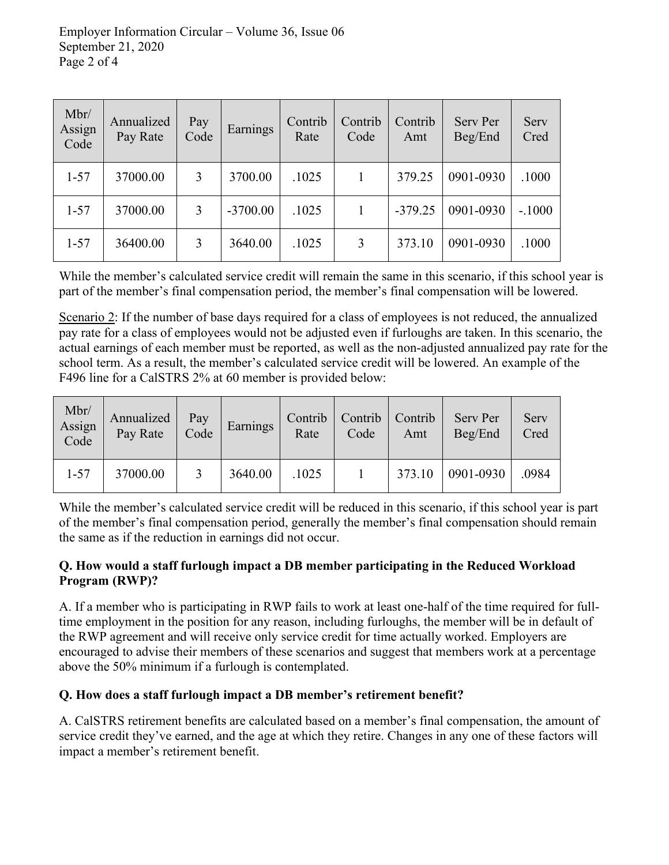| Mbr/<br>Assign<br>Code | Annualized<br>Pay Rate | Pay<br>Code | Earnings   | Contrib<br>Rate | Contrib<br>Code | Contrib<br>Amt | Serv Per<br>Beg/End | Serv<br>Cred |
|------------------------|------------------------|-------------|------------|-----------------|-----------------|----------------|---------------------|--------------|
| $1 - 57$               | 37000.00               | 3           | 3700.00    | .1025           | 1               | 379.25         | 0901-0930           | .1000        |
| $1 - 57$               | 37000.00               | 3           | $-3700.00$ | .1025           | 1               | $-379.25$      | 0901-0930           | $-.1000$     |
| $1 - 57$               | 36400.00               | 3           | 3640.00    | .1025           | 3               | 373.10         | 0901-0930           | .1000        |

While the member's calculated service credit will remain the same in this scenario, if this school year is part of the member's final compensation period, the member's final compensation will be lowered.

Scenario 2: If the number of base days required for a class of employees is not reduced, the annualized pay rate for a class of employees would not be adjusted even if furloughs are taken. In this scenario, the actual earnings of each member must be reported, as well as the non-adjusted annualized pay rate for the school term. As a result, the member's calculated service credit will be lowered. An example of the F496 line for a CalSTRS 2% at 60 member is provided below:

| Mbr/<br>Assign<br>Code | Annualized<br>Pay Rate | Pay<br>Code | Earnings | Contrib<br>Rate | Contrib  <br>Code | Contrib<br>Amt | Serv Per<br>Beg/End | Serv<br>Cred |
|------------------------|------------------------|-------------|----------|-----------------|-------------------|----------------|---------------------|--------------|
| $1 - 57$               | 37000.00               |             | 3640.00  | .1025           |                   | 373.10         | 0901-0930           | .0984        |

While the member's calculated service credit will be reduced in this scenario, if this school year is part of the member's final compensation period, generally the member's final compensation should remain the same as if the reduction in earnings did not occur.

#### **Q. How would a staff furlough impact a DB member participating in the Reduced Workload Program (RWP)?**

A. If a member who is participating in RWP fails to work at least one-half of the time required for fulltime employment in the position for any reason, including furloughs, the member will be in default of the RWP agreement and will receive only service credit for time actually worked. Employers are encouraged to advise their members of these scenarios and suggest that members work at a percentage above the 50% minimum if a furlough is contemplated.

### **Q. How does a staff furlough impact a DB member's retirement benefit?**

A. CalSTRS retirement benefits are calculated based on a member's final compensation, the amount of service credit they've earned, and the age at which they retire. Changes in any one of these factors will impact a member's retirement benefit.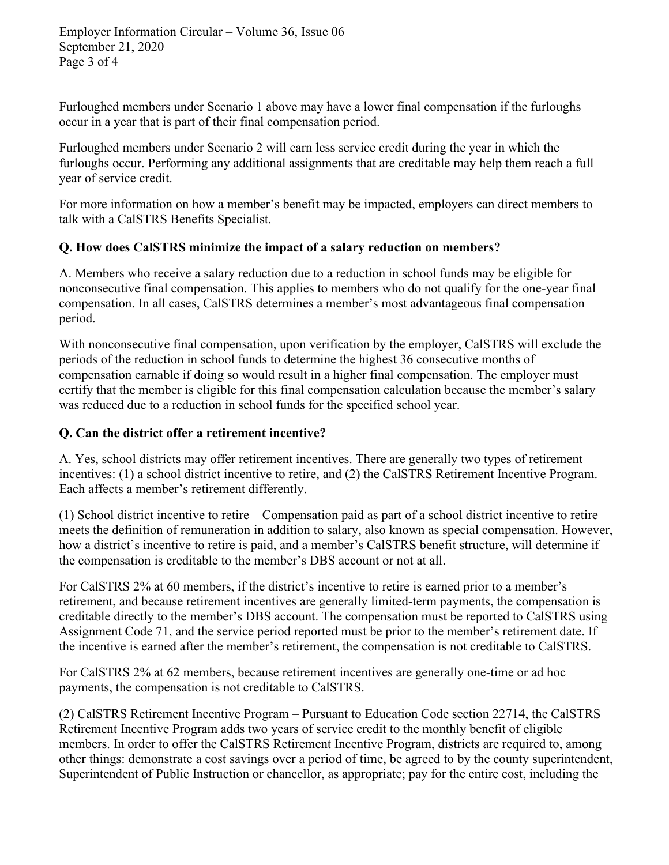Furloughed members under Scenario 1 above may have a lower final compensation if the furloughs occur in a year that is part of their final compensation period.

Furloughed members under Scenario 2 will earn less service credit during the year in which the furloughs occur. Performing any additional assignments that are creditable may help them reach a full year of service credit.

For more information on how a member's benefit may be impacted, employers can direct members to talk with a CalSTRS Benefits Specialist.

# **Q. How does CalSTRS minimize the impact of a salary reduction on members?**

A. Members who receive a salary reduction due to a reduction in school funds may be eligible for nonconsecutive final compensation. This applies to members who do not qualify for the one-year final compensation. In all cases, CalSTRS determines a member's most advantageous final compensation period.

With nonconsecutive final compensation, upon verification by the employer, CalSTRS will exclude the periods of the reduction in school funds to determine the highest 36 consecutive months of compensation earnable if doing so would result in a higher final compensation. The employer must certify that the member is eligible for this final compensation calculation because the member's salary was reduced due to a reduction in school funds for the specified school year.

## **Q. Can the district offer a retirement incentive?**

A. Yes, school districts may offer retirement incentives. There are generally two types of retirement incentives: (1) a school district incentive to retire, and (2) the CalSTRS Retirement Incentive Program. Each affects a member's retirement differently.

(1) School district incentive to retire – Compensation paid as part of a school district incentive to retire meets the definition of remuneration in addition to salary, also known as special compensation. However, how a district's incentive to retire is paid, and a member's CalSTRS benefit structure, will determine if the compensation is creditable to the member's DBS account or not at all.

For CalSTRS 2% at 60 members, if the district's incentive to retire is earned prior to a member's retirement, and because retirement incentives are generally limited-term payments, the compensation is creditable directly to the member's DBS account. The compensation must be reported to CalSTRS using Assignment Code 71, and the service period reported must be prior to the member's retirement date. If the incentive is earned after the member's retirement, the compensation is not creditable to CalSTRS.

For CalSTRS 2% at 62 members, because retirement incentives are generally one-time or ad hoc payments, the compensation is not creditable to CalSTRS.

(2) CalSTRS Retirement Incentive Program – Pursuant to Education Code section 22714, the CalSTRS Retirement Incentive Program adds two years of service credit to the monthly benefit of eligible members. In order to offer the CalSTRS Retirement Incentive Program, districts are required to, among other things: demonstrate a cost savings over a period of time, be agreed to by the county superintendent, Superintendent of Public Instruction or chancellor, as appropriate; pay for the entire cost, including the